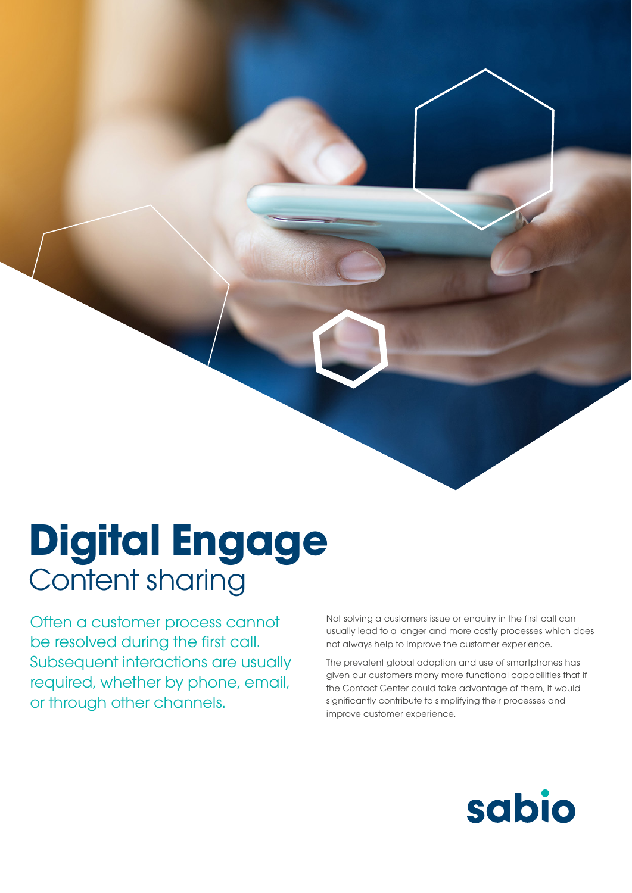## **Digital Engage** Content sharing

Often a customer process cannot be resolved during the first call. Subsequent interactions are usually required, whether by phone, email, or through other channels.

Not solving a customers issue or enquiry in the first call can usually lead to a longer and more costly processes which does not always help to improve the customer experience.

The prevalent global adoption and use of smartphones has given our customers many more functional capabilities that if the Contact Center could take advantage of them, it would significantly contribute to simplifying their processes and improve customer experience.

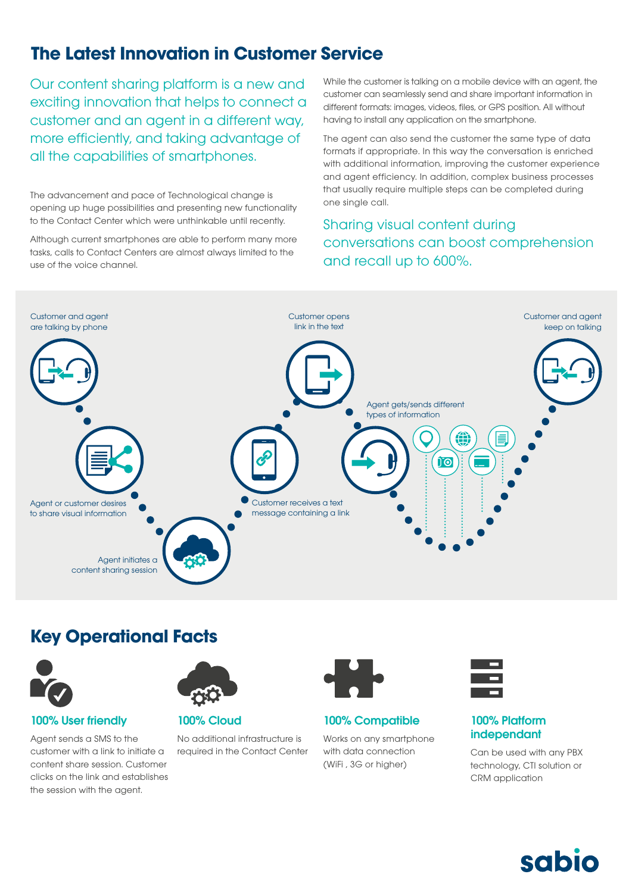## **The Latest Innovation in Customer Service**

Our content sharing platform is a new and exciting innovation that helps to connect a customer and an agent in a different way, more efficiently, and taking advantage of all the capabilities of smartphones.

The advancement and pace of Technological change is the advancement and pace of Technological change is the part one single call. opening up huge possibilities and presenting new functionality to the Contact Center which were unthinkable until recently.

Although current smartphones are able to perform many more tasks, calls to Contact Centers are almost always limited to the use of the voice channel.

While the customer is talking on a mobile device with an agent, the customer can seamlessly send and share important information in different formats: images, videos, files, or GPS position. All without having to install any application on the smartphone.

The agent can also send the customer the same type of data formats if appropriate. In this way the conversation is enriched with additional information, improving the customer experience and agent efficiency. In addition, complex business processes that usually require multiple steps can be completed during

### Sharing visual content during conversations can boost comprehension and recall up to 600%.



## **Key Operational Facts**



#### 100% User friendly

Agent sends a SMS to the customer with a link to initiate a content share session. Customer clicks on the link and establishes the session with the agent.



100% Cloud

No additional infrastructure is required in the Contact Center



100% Compatible Works on any smartphone with data connection (WiFi , 3G or higher)



#### 100% Platform independant

Can be used with any PBX technology, CTI solution or CRM application